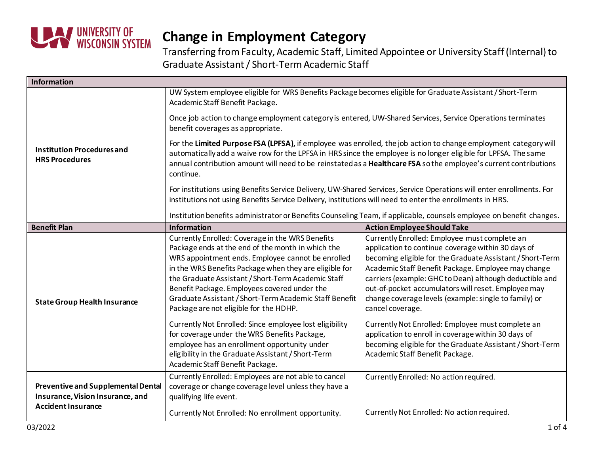

| Information                                                                                                |                                                                                                                                                                                                                                                                                                                                                                                                                                |                                                                                                                                                                                                                                                                                                                                                                                                                        |  |  |
|------------------------------------------------------------------------------------------------------------|--------------------------------------------------------------------------------------------------------------------------------------------------------------------------------------------------------------------------------------------------------------------------------------------------------------------------------------------------------------------------------------------------------------------------------|------------------------------------------------------------------------------------------------------------------------------------------------------------------------------------------------------------------------------------------------------------------------------------------------------------------------------------------------------------------------------------------------------------------------|--|--|
|                                                                                                            | UW System employee eligible for WRS Benefits Package becomes eligible for Graduate Assistant / Short-Term<br>Academic Staff Benefit Package.                                                                                                                                                                                                                                                                                   |                                                                                                                                                                                                                                                                                                                                                                                                                        |  |  |
| <b>Institution Procedures and</b><br><b>HRS Procedures</b>                                                 | Once job action to change employment category is entered, UW-Shared Services, Service Operations terminates<br>benefit coverages as appropriate.                                                                                                                                                                                                                                                                               |                                                                                                                                                                                                                                                                                                                                                                                                                        |  |  |
|                                                                                                            | For the Limited Purpose FSA (LPFSA), if employee was enrolled, the job action to change employment category will<br>automatically add a waive row for the LPFSA in HRS since the employee is no longer eligible for LPFSA. The same<br>annual contribution amount will need to be reinstated as a Healthcare FSA so the employee's current contributions<br>continue.                                                          |                                                                                                                                                                                                                                                                                                                                                                                                                        |  |  |
|                                                                                                            | For institutions using Benefits Service Delivery, UW-Shared Services, Service Operations will enter enrollments. For<br>institutions not using Benefits Service Delivery, institutions will need to enter the enrollments in HRS.                                                                                                                                                                                              |                                                                                                                                                                                                                                                                                                                                                                                                                        |  |  |
|                                                                                                            | Institution benefits administrator or Benefits Counseling Team, if applicable, counsels employee on benefit changes.                                                                                                                                                                                                                                                                                                           |                                                                                                                                                                                                                                                                                                                                                                                                                        |  |  |
| <b>Benefit Plan</b>                                                                                        | <b>Information</b>                                                                                                                                                                                                                                                                                                                                                                                                             | <b>Action Employee Should Take</b>                                                                                                                                                                                                                                                                                                                                                                                     |  |  |
| <b>State Group Health Insurance</b>                                                                        | Currently Enrolled: Coverage in the WRS Benefits<br>Package ends at the end of the month in which the<br>WRS appointment ends. Employee cannot be enrolled<br>in the WRS Benefits Package when they are eligible for<br>the Graduate Assistant / Short-Term Academic Staff<br>Benefit Package. Employees covered under the<br>Graduate Assistant / Short-Term Academic Staff Benefit<br>Package are not eligible for the HDHP. | Currently Enrolled: Employee must complete an<br>application to continue coverage within 30 days of<br>becoming eligible for the Graduate Assistant / Short-Term<br>Academic Staff Benefit Package. Employee may change<br>carriers (example: GHC to Dean) although deductible and<br>out-of-pocket accumulators will reset. Employee may<br>change coverage levels (example: single to family) or<br>cancel coverage. |  |  |
|                                                                                                            | Currently Not Enrolled: Since employee lost eligibility<br>for coverage under the WRS Benefits Package,<br>employee has an enrollment opportunity under<br>eligibility in the Graduate Assistant / Short-Term<br>Academic Staff Benefit Package.                                                                                                                                                                               | Currently Not Enrolled: Employee must complete an<br>application to enroll in coverage within 30 days of<br>becoming eligible for the Graduate Assistant / Short-Term<br>Academic Staff Benefit Package.                                                                                                                                                                                                               |  |  |
| <b>Preventive and Supplemental Dental</b><br>Insurance, Vision Insurance, and<br><b>Accident Insurance</b> | Currently Enrolled: Employees are not able to cancel<br>coverage or change coverage level unless they have a<br>qualifying life event.                                                                                                                                                                                                                                                                                         | Currently Enrolled: No action required.                                                                                                                                                                                                                                                                                                                                                                                |  |  |
|                                                                                                            | Currently Not Enrolled: No enrollment opportunity.                                                                                                                                                                                                                                                                                                                                                                             | Currently Not Enrolled: No action required.                                                                                                                                                                                                                                                                                                                                                                            |  |  |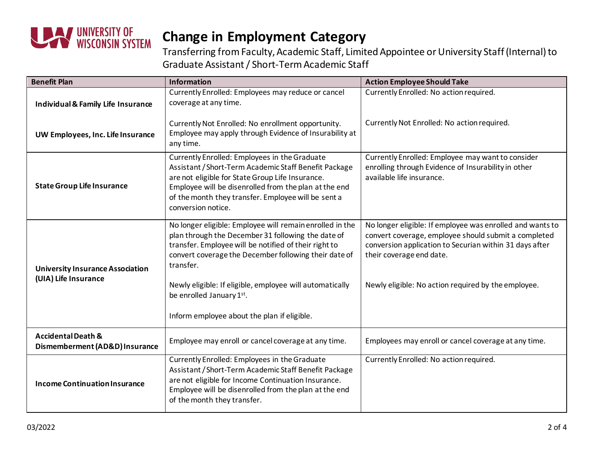

| <b>Benefit Plan</b>                                             | <b>Information</b>                                                                                                                                                                                                                                                                               | <b>Action Employee Should Take</b>                                                                                                                                                                       |
|-----------------------------------------------------------------|--------------------------------------------------------------------------------------------------------------------------------------------------------------------------------------------------------------------------------------------------------------------------------------------------|----------------------------------------------------------------------------------------------------------------------------------------------------------------------------------------------------------|
| Individual & Family Life Insurance                              | Currently Enrolled: Employees may reduce or cancel<br>coverage at any time.                                                                                                                                                                                                                      | Currently Enrolled: No action required.                                                                                                                                                                  |
| UW Employees, Inc. Life Insurance                               | Currently Not Enrolled: No enrollment opportunity.<br>Employee may apply through Evidence of Insurability at<br>any time.                                                                                                                                                                        | Currently Not Enrolled: No action required.                                                                                                                                                              |
| <b>State Group Life Insurance</b>                               | Currently Enrolled: Employees in the Graduate<br>Assistant / Short-Term Academic Staff Benefit Package<br>are not eligible for State Group Life Insurance.<br>Employee will be disenrolled from the plan at the end<br>of the month they transfer. Employee will be sent a<br>conversion notice. | Currently Enrolled: Employee may want to consider<br>enrolling through Evidence of Insurability in other<br>available life insurance.                                                                    |
| <b>University Insurance Association</b><br>(UIA) Life Insurance | No longer eligible: Employee will remain enrolled in the<br>plan through the December 31 following the date of<br>transfer. Employee will be notified of their right to<br>convert coverage the December following their date of<br>transfer.                                                    | No longer eligible: If employee was enrolled and wants to<br>convert coverage, employee should submit a completed<br>conversion application to Securian within 31 days after<br>their coverage end date. |
|                                                                 | Newly eligible: If eligible, employee will automatically<br>be enrolled January 1st.<br>Inform employee about the plan if eligible.                                                                                                                                                              | Newly eligible: No action required by the employee.                                                                                                                                                      |
|                                                                 |                                                                                                                                                                                                                                                                                                  |                                                                                                                                                                                                          |
| <b>Accidental Death &amp;</b><br>Dismemberment (AD&D) Insurance | Employee may enroll or cancel coverage at any time.                                                                                                                                                                                                                                              | Employees may enroll or cancel coverage at any time.                                                                                                                                                     |
| <b>Income Continuation Insurance</b>                            | Currently Enrolled: Employees in the Graduate<br>Assistant / Short-Term Academic Staff Benefit Package<br>are not eligible for Income Continuation Insurance.<br>Employee will be disenrolled from the plan at the end<br>of the month they transfer.                                            | Currently Enrolled: No action required.                                                                                                                                                                  |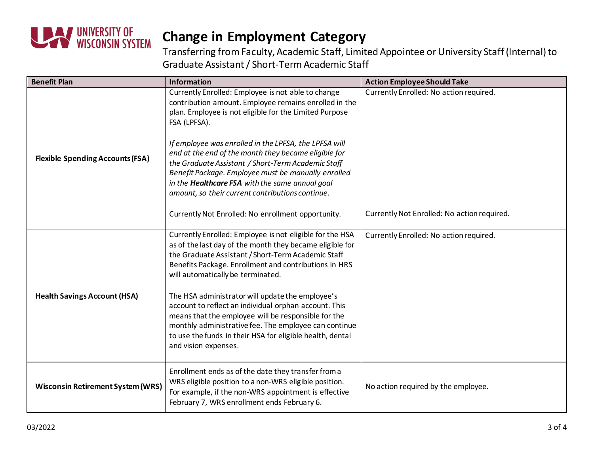

| <b>Benefit Plan</b>                      | <b>Information</b>                                                                                                                                                                                                                                                                                                                                                                                                                                                                                                                                                                         | <b>Action Employee Should Take</b>          |
|------------------------------------------|--------------------------------------------------------------------------------------------------------------------------------------------------------------------------------------------------------------------------------------------------------------------------------------------------------------------------------------------------------------------------------------------------------------------------------------------------------------------------------------------------------------------------------------------------------------------------------------------|---------------------------------------------|
|                                          | Currently Enrolled: Employee is not able to change<br>contribution amount. Employee remains enrolled in the<br>plan. Employee is not eligible for the Limited Purpose<br>FSA (LPFSA).                                                                                                                                                                                                                                                                                                                                                                                                      | Currently Enrolled: No action required.     |
| <b>Flexible Spending Accounts (FSA)</b>  | If employee was enrolled in the LPFSA, the LPFSA will<br>end at the end of the month they became eligible for<br>the Graduate Assistant / Short-Term Academic Staff<br>Benefit Package. Employee must be manually enrolled<br>in the <b>Healthcare FSA</b> with the same annual goal<br>amount, so their current contributions continue.                                                                                                                                                                                                                                                   |                                             |
|                                          | Currently Not Enrolled: No enrollment opportunity.                                                                                                                                                                                                                                                                                                                                                                                                                                                                                                                                         | Currently Not Enrolled: No action required. |
| <b>Health Savings Account (HSA)</b>      | Currently Enrolled: Employee is not eligible for the HSA<br>as of the last day of the month they became eligible for<br>the Graduate Assistant / Short-Term Academic Staff<br>Benefits Package. Enrollment and contributions in HRS<br>will automatically be terminated.<br>The HSA administrator will update the employee's<br>account to reflect an individual orphan account. This<br>means that the employee will be responsible for the<br>monthly administrative fee. The employee can continue<br>to use the funds in their HSA for eligible health, dental<br>and vision expenses. | Currently Enrolled: No action required.     |
| <b>Wisconsin Retirement System (WRS)</b> | Enrollment ends as of the date they transfer from a<br>WRS eligible position to a non-WRS eligible position.<br>For example, if the non-WRS appointment is effective<br>February 7, WRS enrollment ends February 6.                                                                                                                                                                                                                                                                                                                                                                        | No action required by the employee.         |